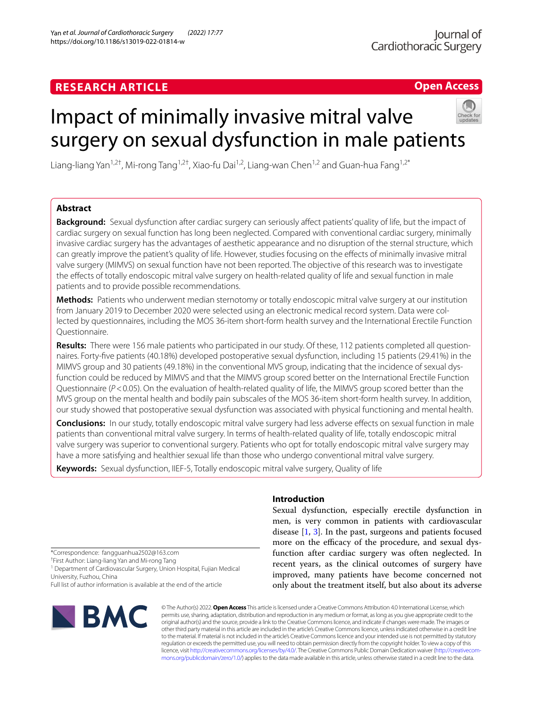## **RESEARCH ARTICLE**

**Open Access**

# Impact of minimally invasive mitral valve surgery on sexual dysfunction in male patients



Liang-liang Yan<sup>1,2†</sup>, Mi-rong Tang<sup>1,2†</sup>, Xiao-fu Dai<sup>1,2</sup>, Liang-wan Chen<sup>1,2</sup> and Guan-hua Fang<sup>1,2\*</sup>

## **Abstract**

**Background:** Sexual dysfunction after cardiac surgery can seriously afect patients' quality of life, but the impact of cardiac surgery on sexual function has long been neglected. Compared with conventional cardiac surgery, minimally invasive cardiac surgery has the advantages of aesthetic appearance and no disruption of the sternal structure, which can greatly improve the patient's quality of life. However, studies focusing on the efects of minimally invasive mitral valve surgery (MIMVS) on sexual function have not been reported. The objective of this research was to investigate the efects of totally endoscopic mitral valve surgery on health-related quality of life and sexual function in male patients and to provide possible recommendations.

**Methods:** Patients who underwent median sternotomy or totally endoscopic mitral valve surgery at our institution from January 2019 to December 2020 were selected using an electronic medical record system. Data were collected by questionnaires, including the MOS 36-item short-form health survey and the International Erectile Function Questionnaire.

Results: There were 156 male patients who participated in our study. Of these, 112 patients completed all questionnaires. Forty-fve patients (40.18%) developed postoperative sexual dysfunction, including 15 patients (29.41%) in the MIMVS group and 30 patients (49.18%) in the conventional MVS group, indicating that the incidence of sexual dysfunction could be reduced by MIMVS and that the MIMVS group scored better on the International Erectile Function Questionnaire ( $P < 0.05$ ). On the evaluation of health-related quality of life, the MIMVS group scored better than the MVS group on the mental health and bodily pain subscales of the MOS 36-item short-form health survey. In addition, our study showed that postoperative sexual dysfunction was associated with physical functioning and mental health.

**Conclusions:** In our study, totally endoscopic mitral valve surgery had less adverse efects on sexual function in male patients than conventional mitral valve surgery. In terms of health-related quality of life, totally endoscopic mitral valve surgery was superior to conventional surgery. Patients who opt for totally endoscopic mitral valve surgery may have a more satisfying and healthier sexual life than those who undergo conventional mitral valve surgery.

**Keywords:** Sexual dysfunction, IIEF-5, Totally endoscopic mitral valve surgery, Quality of life

\*Correspondence: fangguanhua2502@163.com

† First Author: Liang-liang Yan and Mi-rong Tang

<sup>1</sup> Department of Cardiovascular Surgery, Union Hospital, Fujian Medical University, Fuzhou, China

Full list of author information is available at the end of the article



## **Introduction**

Sexual dysfunction, especially erectile dysfunction in men, is very common in patients with cardiovascular disease [\[1](#page-6-0), [3](#page-6-1)]. In the past, surgeons and patients focused more on the efficacy of the procedure, and sexual dysfunction after cardiac surgery was often neglected. In recent years, as the clinical outcomes of surgery have improved, many patients have become concerned not only about the treatment itself, but also about its adverse

© The Author(s) 2022. **Open Access** This article is licensed under a Creative Commons Attribution 4.0 International License, which permits use, sharing, adaptation, distribution and reproduction in any medium or format, as long as you give appropriate credit to the original author(s) and the source, provide a link to the Creative Commons licence, and indicate if changes were made. The images or other third party material in this article are included in the article's Creative Commons licence, unless indicated otherwise in a credit line to the material. If material is not included in the article's Creative Commons licence and your intended use is not permitted by statutory regulation or exceeds the permitted use, you will need to obtain permission directly from the copyright holder. To view a copy of this licence, visit [http://creativecommons.org/licenses/by/4.0/.](http://creativecommons.org/licenses/by/4.0/) The Creative Commons Public Domain Dedication waiver (http://creativecom[mons.org/publicdomain/zero/1.0/\)](http://creativecommons.org/publicdomain/zero/1.0/) applies to the data made available in this article, unless otherwise stated in a credit line to the data.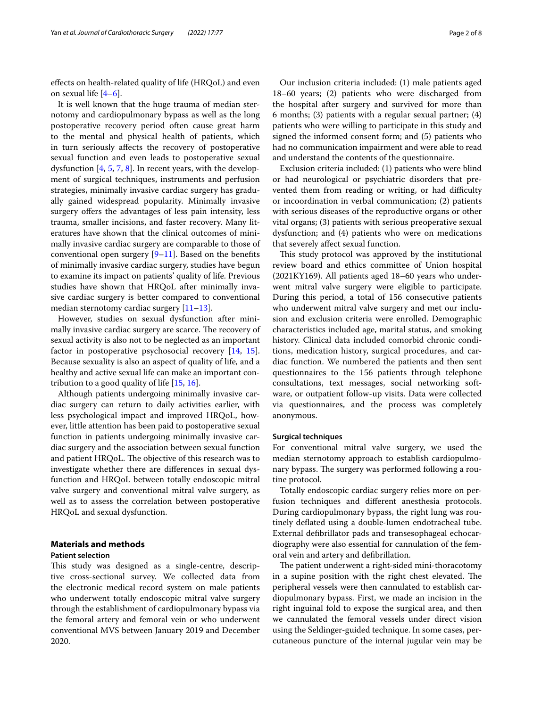efects on health-related quality of life (HRQoL) and even on sexual life [\[4](#page-6-2)[–6](#page-6-3)].

It is well known that the huge trauma of median sternotomy and cardiopulmonary bypass as well as the long postoperative recovery period often cause great harm to the mental and physical health of patients, which in turn seriously afects the recovery of postoperative sexual function and even leads to postoperative sexual dysfunction [[4,](#page-6-2) [5,](#page-6-4) [7](#page-6-5), [8\]](#page-6-6). In recent years, with the development of surgical techniques, instruments and perfusion strategies, minimally invasive cardiac surgery has gradually gained widespread popularity. Minimally invasive surgery offers the advantages of less pain intensity, less trauma, smaller incisions, and faster recovery. Many literatures have shown that the clinical outcomes of minimally invasive cardiac surgery are comparable to those of conventional open surgery  $[9-11]$  $[9-11]$ . Based on the benefits of minimally invasive cardiac surgery, studies have begun to examine its impact on patients' quality of life. Previous studies have shown that HRQoL after minimally invasive cardiac surgery is better compared to conventional median sternotomy cardiac surgery [[11](#page-6-8)-13].

However, studies on sexual dysfunction after minimally invasive cardiac surgery are scarce. The recovery of sexual activity is also not to be neglected as an important factor in postoperative psychosocial recovery [[14](#page-6-10), [15](#page-6-11)]. Because sexuality is also an aspect of quality of life, and a healthy and active sexual life can make an important contribution to a good quality of life [[15](#page-6-11), [16\]](#page-6-12).

Although patients undergoing minimally invasive cardiac surgery can return to daily activities earlier, with less psychological impact and improved HRQoL, however, little attention has been paid to postoperative sexual function in patients undergoing minimally invasive cardiac surgery and the association between sexual function and patient HRQoL. The objective of this research was to investigate whether there are diferences in sexual dysfunction and HRQoL between totally endoscopic mitral valve surgery and conventional mitral valve surgery, as well as to assess the correlation between postoperative HRQoL and sexual dysfunction.

### **Materials and methods**

#### **Patient selection**

This study was designed as a single-centre, descriptive cross-sectional survey. We collected data from the electronic medical record system on male patients who underwent totally endoscopic mitral valve surgery through the establishment of cardiopulmonary bypass via the femoral artery and femoral vein or who underwent conventional MVS between January 2019 and December 2020.

Our inclusion criteria included: (1) male patients aged 18–60 years; (2) patients who were discharged from the hospital after surgery and survived for more than 6 months; (3) patients with a regular sexual partner; (4) patients who were willing to participate in this study and signed the informed consent form; and (5) patients who had no communication impairment and were able to read and understand the contents of the questionnaire.

Exclusion criteria included: (1) patients who were blind or had neurological or psychiatric disorders that prevented them from reading or writing, or had difficulty or incoordination in verbal communication; (2) patients with serious diseases of the reproductive organs or other vital organs; (3) patients with serious preoperative sexual dysfunction; and (4) patients who were on medications that severely afect sexual function.

This study protocol was approved by the institutional review board and ethics committee of Union hospital (2021KY169). All patients aged 18–60 years who underwent mitral valve surgery were eligible to participate. During this period, a total of 156 consecutive patients who underwent mitral valve surgery and met our inclusion and exclusion criteria were enrolled. Demographic characteristics included age, marital status, and smoking history. Clinical data included comorbid chronic conditions, medication history, surgical procedures, and cardiac function. We numbered the patients and then sent questionnaires to the 156 patients through telephone consultations, text messages, social networking software, or outpatient follow-up visits. Data were collected via questionnaires, and the process was completely anonymous.

#### **Surgical techniques**

For conventional mitral valve surgery, we used the median sternotomy approach to establish cardiopulmonary bypass. The surgery was performed following a routine protocol.

Totally endoscopic cardiac surgery relies more on perfusion techniques and diferent anesthesia protocols. During cardiopulmonary bypass, the right lung was routinely defated using a double-lumen endotracheal tube. External defbrillator pads and transesophageal echocardiography were also essential for cannulation of the femoral vein and artery and defbrillation.

The patient underwent a right-sided mini-thoracotomy in a supine position with the right chest elevated. The peripheral vessels were then cannulated to establish cardiopulmonary bypass. First, we made an incision in the right inguinal fold to expose the surgical area, and then we cannulated the femoral vessels under direct vision using the Seldinger-guided technique. In some cases, percutaneous puncture of the internal jugular vein may be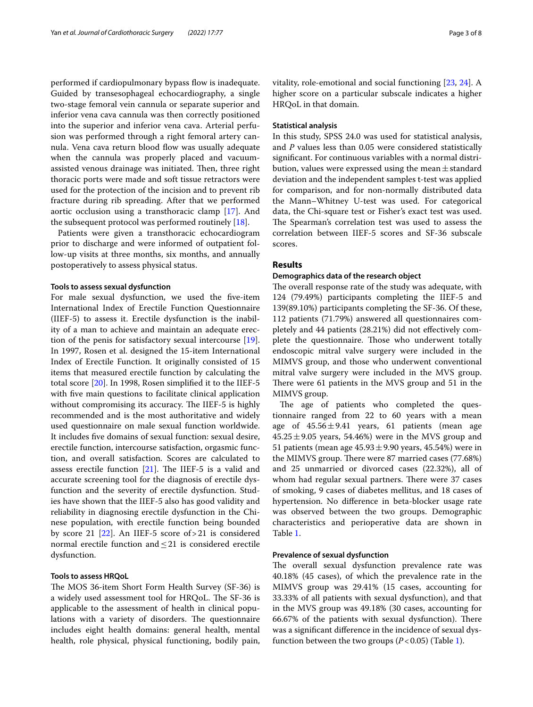performed if cardiopulmonary bypass fow is inadequate. Guided by transesophageal echocardiography, a single two-stage femoral vein cannula or separate superior and inferior vena cava cannula was then correctly positioned into the superior and inferior vena cava. Arterial perfusion was performed through a right femoral artery cannula. Vena cava return blood flow was usually adequate when the cannula was properly placed and vacuumassisted venous drainage was initiated. Then, three right thoracic ports were made and soft tissue retractors were used for the protection of the incision and to prevent rib fracture during rib spreading. After that we performed aortic occlusion using a transthoracic clamp [\[17](#page-6-13)]. And the subsequent protocol was performed routinely [[18\]](#page-6-14).

Patients were given a transthoracic echocardiogram prior to discharge and were informed of outpatient follow-up visits at three months, six months, and annually postoperatively to assess physical status.

#### **Tools to assess sexual dysfunction**

For male sexual dysfunction, we used the fve-item International Index of Erectile Function Questionnaire (IIEF-5) to assess it. Erectile dysfunction is the inability of a man to achieve and maintain an adequate erection of the penis for satisfactory sexual intercourse [\[19](#page-6-15)]. In 1997, Rosen et al. designed the 15-item International Index of Erectile Function. It originally consisted of 15 items that measured erectile function by calculating the total score [\[20](#page-6-16)]. In 1998, Rosen simplifed it to the IIEF-5 with fve main questions to facilitate clinical application without compromising its accuracy. The IIEF-5 is highly recommended and is the most authoritative and widely used questionnaire on male sexual function worldwide. It includes fve domains of sexual function: sexual desire, erectile function, intercourse satisfaction, orgasmic function, and overall satisfaction. Scores are calculated to assess erectile function  $[21]$  $[21]$ . The IIEF-5 is a valid and accurate screening tool for the diagnosis of erectile dysfunction and the severity of erectile dysfunction. Studies have shown that the IIEF-5 also has good validity and reliability in diagnosing erectile dysfunction in the Chinese population, with erectile function being bounded by score 21  $[22]$  $[22]$ . An IIEF-5 score of > 21 is considered normal erectile function and≤21 is considered erectile dysfunction.

#### **Tools to assess HRQoL**

The MOS 36-item Short Form Health Survey (SF-36) is a widely used assessment tool for HRQoL. The SF-36 is applicable to the assessment of health in clinical populations with a variety of disorders. The questionnaire includes eight health domains: general health, mental health, role physical, physical functioning, bodily pain, vitality, role-emotional and social functioning [[23](#page-6-19), [24](#page-7-0)]. A higher score on a particular subscale indicates a higher HRQoL in that domain.

#### **Statistical analysis**

In this study, SPSS 24.0 was used for statistical analysis, and *P* values less than 0.05 were considered statistically signifcant. For continuous variables with a normal distribution, values were expressed using the mean $\pm$ standard deviation and the independent samples t-test was applied for comparison, and for non-normally distributed data the Mann–Whitney U-test was used. For categorical data, the Chi-square test or Fisher's exact test was used. The Spearman's correlation test was used to assess the correlation between IIEF-5 scores and SF-36 subscale scores.

#### **Results**

#### **Demographics data of the research object**

The overall response rate of the study was adequate, with 124 (79.49%) participants completing the IIEF-5 and 139(89.10%) participants completing the SF-36. Of these, 112 patients (71.79%) answered all questionnaires completely and 44 patients (28.21%) did not efectively complete the questionnaire. Those who underwent totally endoscopic mitral valve surgery were included in the MIMVS group, and those who underwent conventional mitral valve surgery were included in the MVS group. There were 61 patients in the MVS group and 51 in the MIMVS group.

The age of patients who completed the questionnaire ranged from 22 to 60 years with a mean age of  $45.56 \pm 9.41$  years, 61 patients (mean age  $45.25 \pm 9.05$  years, 54.46%) were in the MVS group and 51 patients (mean age  $45.93 \pm 9.90$  years,  $45.54\%$ ) were in the MIMVS group. There were 87 married cases (77.68%) and 25 unmarried or divorced cases (22.32%), all of whom had regular sexual partners. There were 37 cases of smoking, 9 cases of diabetes mellitus, and 18 cases of hypertension. No diference in beta-blocker usage rate was observed between the two groups. Demographic characteristics and perioperative data are shown in Table [1](#page-3-0).

#### **Prevalence of sexual dysfunction**

The overall sexual dysfunction prevalence rate was 40.18% (45 cases), of which the prevalence rate in the MIMVS group was 29.41% (15 cases, accounting for 33.33% of all patients with sexual dysfunction), and that in the MVS group was 49.18% (30 cases, accounting for 66.67% of the patients with sexual dysfunction). There was a signifcant diference in the incidence of sexual dysfunction between the two groups  $(P<0.05)$  (Table [1\)](#page-3-0).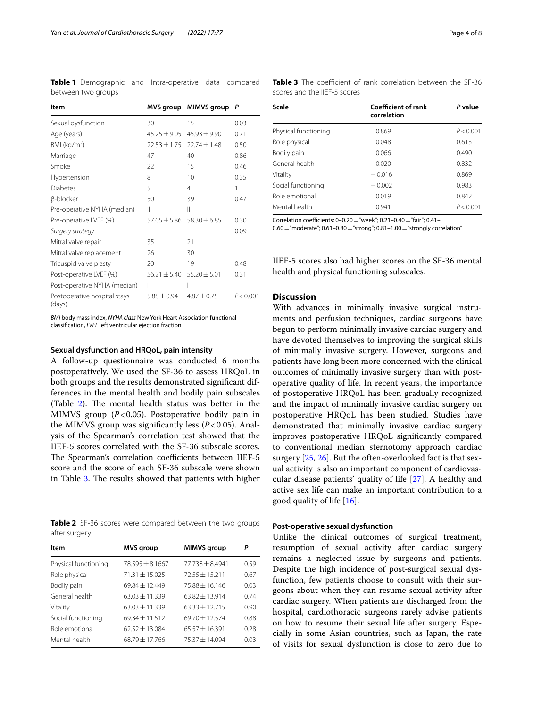<span id="page-3-0"></span>**Table 1** Demographic and Intra-operative data compared between two groups

| Item                                   |                  | MVS group MIMVS group P |           |
|----------------------------------------|------------------|-------------------------|-----------|
| Sexual dysfunction                     | 30               | 15                      | 0.03      |
| Age (years)                            | $45.25 \pm 9.05$ | $45.93 + 9.90$          | 0.71      |
| BMI ( $kg/m2$ )                        | $22.53 + 1.75$   | $22.74 \pm 1.48$        | 0.50      |
| Marriage                               | 47               | 40                      | 0.86      |
| Smoke                                  | 22               | 15                      | 0.46      |
| Hypertension                           | 8                | 10                      | 0.35      |
| Diabetes                               | 5                | 4                       | 1         |
| β-blocker                              | 50               | 39                      | 0.47      |
| Pre-operative NYHA (median)            | Ш                | Ш                       |           |
| Pre-operative LVEF (%)                 | $57.05 \pm 5.86$ | $58.30 \pm 6.85$        | 0.30      |
| Surgery strategy                       |                  |                         | 0.09      |
| Mitral valve repair                    | 35               | 21                      |           |
| Mitral valve replacement               | 26               | 30                      |           |
| Tricuspid valve plasty                 | 20               | 19                      | 0.48      |
| Post-operative LVEF (%)                | $56.21 + 5.40$   | $55.20 \pm 5.01$        | 0.31      |
| Post-operative NYHA (median)           |                  |                         |           |
| Postoperative hospital stays<br>(days) | $5.88 \pm 0.94$  | $4.87 + 0.75$           | P < 0.001 |

*BMI* body mass index, *NYHA class* New York Heart Association functional classifcation, *LVEF* left ventricular ejection fraction

#### **Sexual dysfunction and HRQoL, pain intensity**

A follow-up questionnaire was conducted 6 months postoperatively. We used the SF-36 to assess HRQoL in both groups and the results demonstrated signifcant differences in the mental health and bodily pain subscales (Table  $2$ ). The mental health status was better in the MIMVS group (*P*<0.05). Postoperative bodily pain in the MIMVS group was significantly less  $(P<0.05)$ . Analysis of the Spearman's correlation test showed that the IIEF-5 scores correlated with the SF-36 subscale scores. The Spearman's correlation coefficients between IIEF-5 score and the score of each SF-36 subscale were shown in Table [3](#page-3-2). The results showed that patients with higher

<span id="page-3-1"></span>**Table 2** SF-36 scores were compared between the two groups after surgery

| ltem                 | <b>MVS</b> group  | <b>MIMVS</b> group | Р    |
|----------------------|-------------------|--------------------|------|
| Physical functioning | $78.595 + 8.1667$ | $77.738 + 8.4941$  | 0.59 |
| Role physical        | 71.31 ± 15.025    | $72.55 \pm 15.211$ | 0.67 |
| Bodily pain          | 69.84 ± 12.449    | $75.88 + 16.146$   | 0.03 |
| General health       | $63.03 + 11.339$  | $6382 + 13914$     | 0.74 |
| Vitality             | $63.03 + 11.339$  | $63.33 + 12.715$   | 0.90 |
| Social functioning   | $69.34 + 11.512$  | $69.70 + 12.574$   | 0.88 |
| Role emotional       | $62.52 + 13.084$  | $65.57 + 16.391$   | 0.28 |
| Mental health        | $68.79 + 17.766$  | $75.37 + 14.094$   | 0.03 |

| Scale                | Coefficient of rank<br>correlation | P value   |  |
|----------------------|------------------------------------|-----------|--|
| Physical functioning | 0.869                              | P < 0.001 |  |
| Role physical        | 0.048                              | 0.613     |  |
| Bodily pain          | 0.066                              | 0.490     |  |
| General health       | 0.020                              | 0.832     |  |
| Vitality             | $-0.016$                           | 0.869     |  |
| Social functioning   | $-0.002$                           | 0.983     |  |
| Role emotional       | 0.019                              | 0.842     |  |
| Mental health        | 0.941                              | P < 0.001 |  |
|                      |                                    |           |  |

<span id="page-3-2"></span>Table 3 The coefficient of rank correlation between the SF-36

Correlation coefficients: 0–0.20="week"; 0.21–0.40="fair"; 0.41–

 $0.60$  = "moderate";  $0.61$  -  $0.80$  = "strong";  $0.81$  -  $1.00$  = "strongly correlation"

IIEF-5 scores also had higher scores on the SF-36 mental health and physical functioning subscales.

#### **Discussion**

scores and the IIEF-5 scores

With advances in minimally invasive surgical instruments and perfusion techniques, cardiac surgeons have begun to perform minimally invasive cardiac surgery and have devoted themselves to improving the surgical skills of minimally invasive surgery. However, surgeons and patients have long been more concerned with the clinical outcomes of minimally invasive surgery than with postoperative quality of life. In recent years, the importance of postoperative HRQoL has been gradually recognized and the impact of minimally invasive cardiac surgery on postoperative HRQoL has been studied. Studies have demonstrated that minimally invasive cardiac surgery improves postoperative HRQoL signifcantly compared to conventional median sternotomy approach cardiac surgery [[25,](#page-7-1) [26\]](#page-7-2). But the often-overlooked fact is that sexual activity is also an important component of cardiovascular disease patients' quality of life [\[27\]](#page-7-3). A healthy and active sex life can make an important contribution to a good quality of life  $[16]$  $[16]$ .

#### **Post‑operative sexual dysfunction**

Unlike the clinical outcomes of surgical treatment, resumption of sexual activity after cardiac surgery remains a neglected issue by surgeons and patients. Despite the high incidence of post-surgical sexual dysfunction, few patients choose to consult with their surgeons about when they can resume sexual activity after cardiac surgery. When patients are discharged from the hospital, cardiothoracic surgeons rarely advise patients on how to resume their sexual life after surgery. Especially in some Asian countries, such as Japan, the rate of visits for sexual dysfunction is close to zero due to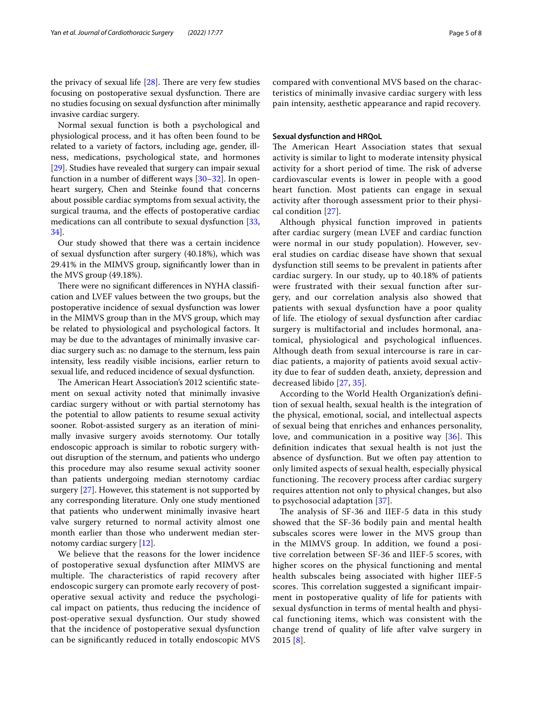the privacy of sexual life  $[28]$  $[28]$ . There are very few studies focusing on postoperative sexual dysfunction. There are no studies focusing on sexual dysfunction after minimally invasive cardiac surgery.

Normal sexual function is both a psychological and physiological process, and it has often been found to be related to a variety of factors, including age, gender, illness, medications, psychological state, and hormones [[29\]](#page-7-5). Studies have revealed that surgery can impair sexual function in a number of diferent ways [\[30](#page-7-6)[–32\]](#page-7-7). In openheart surgery, Chen and Steinke found that concerns about possible cardiac symptoms from sexual activity, the surgical trauma, and the efects of postoperative cardiac medications can all contribute to sexual dysfunction [\[33](#page-7-8), [34\]](#page-7-9).

Our study showed that there was a certain incidence of sexual dysfunction after surgery (40.18%), which was 29.41% in the MIMVS group, signifcantly lower than in the MVS group (49.18%).

There were no significant differences in NYHA classification and LVEF values between the two groups, but the postoperative incidence of sexual dysfunction was lower in the MIMVS group than in the MVS group, which may be related to physiological and psychological factors. It may be due to the advantages of minimally invasive cardiac surgery such as: no damage to the sternum, less pain intensity, less readily visible incisions, earlier return to sexual life, and reduced incidence of sexual dysfunction.

The American Heart Association's 2012 scientific statement on sexual activity noted that minimally invasive cardiac surgery without or with partial sternotomy has the potential to allow patients to resume sexual activity sooner. Robot-assisted surgery as an iteration of minimally invasive surgery avoids sternotomy. Our totally endoscopic approach is similar to robotic surgery without disruption of the sternum, and patients who undergo this procedure may also resume sexual activity sooner than patients undergoing median sternotomy cardiac surgery [[27\]](#page-7-3). However, this statement is not supported by any corresponding literature. Only one study mentioned that patients who underwent minimally invasive heart valve surgery returned to normal activity almost one month earlier than those who underwent median sternotomy cardiac surgery [\[12](#page-6-20)].

We believe that the reasons for the lower incidence of postoperative sexual dysfunction after MIMVS are multiple. The characteristics of rapid recovery after endoscopic surgery can promote early recovery of postoperative sexual activity and reduce the psychological impact on patients, thus reducing the incidence of post-operative sexual dysfunction. Our study showed that the incidence of postoperative sexual dysfunction can be signifcantly reduced in totally endoscopic MVS compared with conventional MVS based on the characteristics of minimally invasive cardiac surgery with less pain intensity, aesthetic appearance and rapid recovery.

#### **Sexual dysfunction and HRQoL**

The American Heart Association states that sexual activity is similar to light to moderate intensity physical activity for a short period of time. The risk of adverse cardiovascular events is lower in people with a good heart function. Most patients can engage in sexual activity after thorough assessment prior to their physical condition [\[27\]](#page-7-3).

Although physical function improved in patients after cardiac surgery (mean LVEF and cardiac function were normal in our study population). However, several studies on cardiac disease have shown that sexual dysfunction still seems to be prevalent in patients after cardiac surgery. In our study, up to 40.18% of patients were frustrated with their sexual function after surgery, and our correlation analysis also showed that patients with sexual dysfunction have a poor quality of life. The etiology of sexual dysfunction after cardiac surgery is multifactorial and includes hormonal, anatomical, physiological and psychological infuences. Although death from sexual intercourse is rare in cardiac patients, a majority of patients avoid sexual activity due to fear of sudden death, anxiety, depression and decreased libido [\[27](#page-7-3), [35](#page-7-10)].

According to the World Health Organization's defnition of sexual health, sexual health is the integration of the physical, emotional, social, and intellectual aspects of sexual being that enriches and enhances personality, love, and communication in a positive way  $[36]$  $[36]$  $[36]$ . This defnition indicates that sexual health is not just the absence of dysfunction. But we often pay attention to only limited aspects of sexual health, especially physical functioning. The recovery process after cardiac surgery requires attention not only to physical changes, but also to psychosocial adaptation [[37\]](#page-7-12).

The analysis of SF-36 and IIEF-5 data in this study showed that the SF-36 bodily pain and mental health subscales scores were lower in the MVS group than in the MIMVS group. In addition, we found a positive correlation between SF-36 and IIEF-5 scores, with higher scores on the physical functioning and mental health subscales being associated with higher IIEF-5 scores. This correlation suggested a significant impairment in postoperative quality of life for patients with sexual dysfunction in terms of mental health and physical functioning items, which was consistent with the change trend of quality of life after valve surgery in 2015 [[8\]](#page-6-6).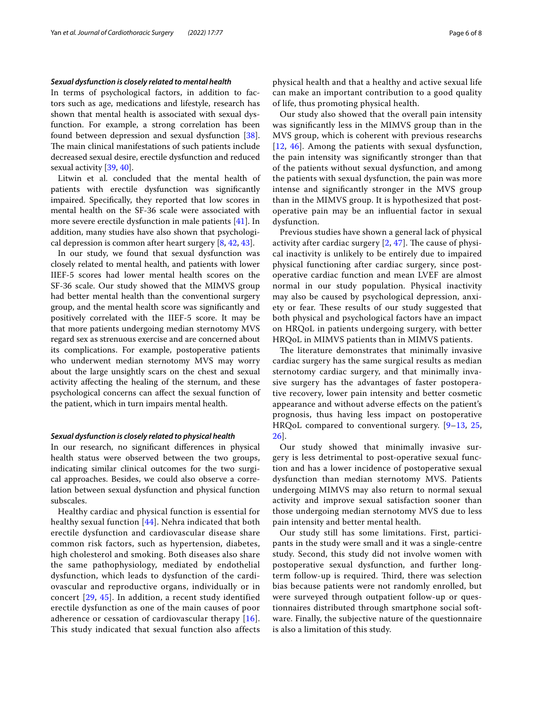#### *Sexual dysfunction is closely related to mental health*

In terms of psychological factors, in addition to factors such as age, medications and lifestyle, research has shown that mental health is associated with sexual dysfunction. For example, a strong correlation has been found between depression and sexual dysfunction [\[38](#page-7-13)]. The main clinical manifestations of such patients include decreased sexual desire, erectile dysfunction and reduced sexual activity [[39,](#page-7-14) [40\]](#page-7-15).

Litwin et al. concluded that the mental health of patients with erectile dysfunction was signifcantly impaired. Specifcally, they reported that low scores in mental health on the SF-36 scale were associated with more severe erectile dysfunction in male patients [[41\]](#page-7-16). In addition, many studies have also shown that psychological depression is common after heart surgery [[8,](#page-6-6) [42,](#page-7-17) [43](#page-7-18)].

In our study, we found that sexual dysfunction was closely related to mental health, and patients with lower IIEF-5 scores had lower mental health scores on the SF-36 scale. Our study showed that the MIMVS group had better mental health than the conventional surgery group, and the mental health score was signifcantly and positively correlated with the IIEF-5 score. It may be that more patients undergoing median sternotomy MVS regard sex as strenuous exercise and are concerned about its complications. For example, postoperative patients who underwent median sternotomy MVS may worry about the large unsightly scars on the chest and sexual activity afecting the healing of the sternum, and these psychological concerns can afect the sexual function of the patient, which in turn impairs mental health.

#### *Sexual dysfunction is closely related to physical health*

In our research, no signifcant diferences in physical health status were observed between the two groups, indicating similar clinical outcomes for the two surgical approaches. Besides, we could also observe a correlation between sexual dysfunction and physical function subscales.

Healthy cardiac and physical function is essential for healthy sexual function [[44\]](#page-7-19). Nehra indicated that both erectile dysfunction and cardiovascular disease share common risk factors, such as hypertension, diabetes, high cholesterol and smoking. Both diseases also share the same pathophysiology, mediated by endothelial dysfunction, which leads to dysfunction of the cardiovascular and reproductive organs, individually or in concert [[29,](#page-7-5) [45\]](#page-7-20). In addition, a recent study identified erectile dysfunction as one of the main causes of poor adherence or cessation of cardiovascular therapy [[16\]](#page-6-12). This study indicated that sexual function also affects physical health and that a healthy and active sexual life can make an important contribution to a good quality of life, thus promoting physical health.

Our study also showed that the overall pain intensity was signifcantly less in the MIMVS group than in the MVS group, which is coherent with previous researchs [[12](#page-6-20), [46](#page-7-21)]. Among the patients with sexual dysfunction, the pain intensity was signifcantly stronger than that of the patients without sexual dysfunction, and among the patients with sexual dysfunction, the pain was more intense and signifcantly stronger in the MVS group than in the MIMVS group. It is hypothesized that postoperative pain may be an infuential factor in sexual dysfunction.

Previous studies have shown a general lack of physical activity after cardiac surgery  $[2, 47]$  $[2, 47]$  $[2, 47]$  $[2, 47]$ . The cause of physical inactivity is unlikely to be entirely due to impaired physical functioning after cardiac surgery, since postoperative cardiac function and mean LVEF are almost normal in our study population. Physical inactivity may also be caused by psychological depression, anxiety or fear. These results of our study suggested that both physical and psychological factors have an impact on HRQoL in patients undergoing surgery, with better HRQoL in MIMVS patients than in MIMVS patients.

The literature demonstrates that minimally invasive cardiac surgery has the same surgical results as median sternotomy cardiac surgery, and that minimally invasive surgery has the advantages of faster postoperative recovery, lower pain intensity and better cosmetic appearance and without adverse efects on the patient's prognosis, thus having less impact on postoperative HRQoL compared to conventional surgery. [[9–](#page-6-7)[13,](#page-6-9) [25](#page-7-1), [26\]](#page-7-2).

Our study showed that minimally invasive surgery is less detrimental to post-operative sexual function and has a lower incidence of postoperative sexual dysfunction than median sternotomy MVS. Patients undergoing MIMVS may also return to normal sexual activity and improve sexual satisfaction sooner than those undergoing median sternotomy MVS due to less pain intensity and better mental health.

Our study still has some limitations. First, participants in the study were small and it was a single-centre study. Second, this study did not involve women with postoperative sexual dysfunction, and further longterm follow-up is required. Third, there was selection bias because patients were not randomly enrolled, but were surveyed through outpatient follow-up or questionnaires distributed through smartphone social software. Finally, the subjective nature of the questionnaire is also a limitation of this study.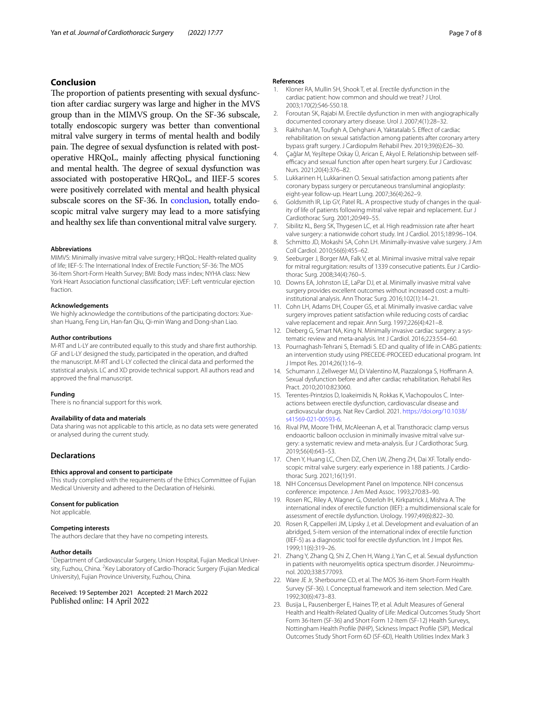#### <span id="page-6-22"></span>**Conclusion**

The proportion of patients presenting with sexual dysfunction after cardiac surgery was large and higher in the MVS group than in the MIMVS group. On the SF-36 subscale, totally endoscopic surgery was better than conventional mitral valve surgery in terms of mental health and bodily pain. The degree of sexual dysfunction is related with postoperative HRQoL, mainly afecting physical functioning and mental health. The degree of sexual dysfunction was associated with postoperative HRQoL, and IIEF-5 scores were positively correlated with mental and health physical subscale scores on the SF-36. In [conclusion,](#page-6-22) totally endoscopic mitral valve surgery may lead to a more satisfying and healthy sex life than conventional mitral valve surgery.

#### **Abbreviations**

MIMVS: Minimally invasive mitral valve surgery; HRQoL: Health-related quality of life; IIEF-5: The International Index of Erectile Function; SF-36: The MOS 36-Item Short-Form Health Survey; BMI: Body mass index; NYHA class: New York Heart Association functional classifcation; LVEF: Left ventricular ejection fraction.

#### **Acknowledgements**

We highly acknowledge the contributions of the participating doctors: Xueshan Huang, Feng Lin, Han-fan Qiu, Qi-min Wang and Dong-shan Liao.

#### **Author contributions**

M-RT and L-LY are contributed equally to this study and share frst authorship. GF and L-LY designed the study, participated in the operation, and drafted the manuscript. M-RT and L-LY collected the clinical data and performed the statistical analysis. LC and XD provide technical support. All authors read and approved the fnal manuscript.

#### **Funding**

There is no fnancial support for this work.

#### **Availability of data and materials**

Data sharing was not applicable to this article, as no data sets were generated or analysed during the current study.

#### **Declarations**

#### **Ethics approval and consent to participate**

This study complied with the requirements of the Ethics Committee of Fujian Medical University and adhered to the Declaration of Helsinki.

#### **Consent for publication**

Not applicable.

#### **Competing interests** The authors declare that they have no competing interests.

#### **Author details**

<sup>1</sup> Department of Cardiovascular Surgery, Union Hospital, Fujian Medical University, Fuzhou, China. <sup>2</sup> Key Laboratory of Cardio-Thoracic Surgery (Fujian Medical University), Fujian Province University, Fuzhou, China.

Received: 19 September 2021 Accepted: 21 March 2022 Published online: 14 April 2022

#### **References**

- <span id="page-6-0"></span>1. Kloner RA, Mullin SH, Shook T, et al. Erectile dysfunction in the cardiac patient: how common and should we treat? J Urol. 2003;170(2):S46-S50.18.
- <span id="page-6-21"></span>2. Foroutan SK, Rajabi M. Erectile dysfunction in men with angiographically documented coronary artery disease. Urol J. 2007;4(1):28–32.
- <span id="page-6-1"></span>Rakhshan M, Toufigh A, Dehghani A, Yaktatalab S. Effect of cardiac rehabilitation on sexual satisfaction among patients after coronary artery bypass graft surgery. J Cardiopulm Rehabil Prev. 2019;39(6):E26–30.
- <span id="page-6-2"></span>4. Çağlar M, Yeşiltepe Oskay Ü, Arican E, Akyol E. Relationship between selfefficacy and sexual function after open heart surgery. Eur J Cardiovasc Nurs. 2021;20(4):376–82.
- <span id="page-6-4"></span>5. Lukkarinen H, Lukkarinen O. Sexual satisfaction among patients after coronary bypass surgery or percutaneous transluminal angioplasty: eight-year follow-up. Heart Lung. 2007;36(4):262–9.
- <span id="page-6-3"></span>6. Goldsmith IR, Lip GY, Patel RL. A prospective study of changes in the quality of life of patients following mitral valve repair and replacement. Eur J Cardiothorac Surg. 2001;20:949–55.
- <span id="page-6-5"></span>7. Sibilitz KL, Berg SK, Thygesen LC, et al. High readmission rate after heart valve surgery: a nationwide cohort study. Int J Cardiol. 2015;189:96–104.
- <span id="page-6-6"></span>8. Schmitto JD, Mokashi SA, Cohn LH. Minimally-invasive valve surgery. J Am Coll Cardiol. 2010;56(6):455–62.
- <span id="page-6-7"></span>9. Seeburger J, Borger MA, Falk V, et al. Minimal invasive mitral valve repair for mitral regurgitation: results of 1339 consecutive patients. Eur J Cardiothorac Surg. 2008;34(4):760–5.
- 10. Downs EA, Johnston LE, LaPar DJ, et al. Minimally invasive mitral valve surgery provides excellent outcomes without increased cost: a multiinstitutional analysis. Ann Thorac Surg. 2016;102(1):14–21.
- <span id="page-6-8"></span>11. Cohn LH, Adams DH, Couper GS, et al. Minimally invasive cardiac valve surgery improves patient satisfaction while reducing costs of cardiac valve replacement and repair. Ann Surg. 1997;226(4):421–8.
- <span id="page-6-20"></span>12. Dieberg G, Smart NA, King N. Minimally invasive cardiac surgery: a systematic review and meta-analysis. Int J Cardiol. 2016;223:554–60.
- <span id="page-6-9"></span>13. Pournaghash-Tehrani S, Etemadi S. ED and quality of life in CABG patients: an intervention study using PRECEDE-PROCEED educational program. Int J Impot Res. 2014;26(1):16–9.
- <span id="page-6-10"></span>14. Schumann J, Zellweger MJ, Di Valentino M, Piazzalonga S, Hofmann A. Sexual dysfunction before and after cardiac rehabilitation. Rehabil Res Pract. 2010;2010:823060.
- <span id="page-6-11"></span>15. Terentes-Printzios D, Ioakeimidis N, Rokkas K, Vlachopoulos C. Interactions between erectile dysfunction, cardiovascular disease and cardiovascular drugs. Nat Rev Cardiol. 2021. [https://doi.org/10.1038/](https://doi.org/10.1038/s41569-021-00593-6) [s41569-021-00593-6](https://doi.org/10.1038/s41569-021-00593-6).
- <span id="page-6-12"></span>16. Rival PM, Moore THM, McAleenan A, et al. Transthoracic clamp versus endoaortic balloon occlusion in minimally invasive mitral valve surgery: a systematic review and meta-analysis. Eur J Cardiothorac Surg. 2019;56(4):643–53.
- <span id="page-6-13"></span>17. Chen Y, Huang LC, Chen DZ, Chen LW, Zheng ZH, Dai XF. Totally endoscopic mitral valve surgery: early experience in 188 patients. J Cardiothorac Surg. 2021;16(1):91.
- <span id="page-6-14"></span>18. NIH Concensus Development Panel on Impotence. NIH concensus conference: impotence. J Am Med Assoc. 1993;270:83–90.
- <span id="page-6-15"></span>19. Rosen RC, Riley A, Wagner G, Osterloh IH, Kirkpatrick J, Mishra A. The international index of erectile function (IIEF): a multidimensional scale for assessment of erectile dysfunction. Urology. 1997;49(6):822–30.
- <span id="page-6-16"></span>20. Rosen R, Cappelleri JM, Lipsky J, et al. Development and evaluation of an abridged, 5-item version of the international index of erectile function (IIEF-5) as a diagnostic tool for erectile dysfunction. Int J Impot Res. 1999;11(6):319–26.
- <span id="page-6-17"></span>21. Zhang Y, Zhang Q, Shi Z, Chen H, Wang J, Yan C, et al. Sexual dysfunction in patients with neuromyelitis optica spectrum disorder. J Neuroimmunol. 2020;338:577093.
- <span id="page-6-18"></span>22. Ware JE Jr, Sherbourne CD, et al. The MOS 36-item Short-Form Health Survey (SF-36). I. Conceptual framework and item selection. Med Care. 1992;30(6):473–83.
- <span id="page-6-19"></span>23. Busija L, Pausenberger E, Haines TP, et al. Adult Measures of General Health and Health-Related Quality of Life: Medical Outcomes Study Short Form 36-Item (SF-36) and Short Form 12-Item (SF-12) Health Surveys, Nottingham Health Profle (NHP), Sickness Impact Profle (SIP), Medical Outcomes Study Short Form 6D (SF-6D), Health Utilities Index Mark 3